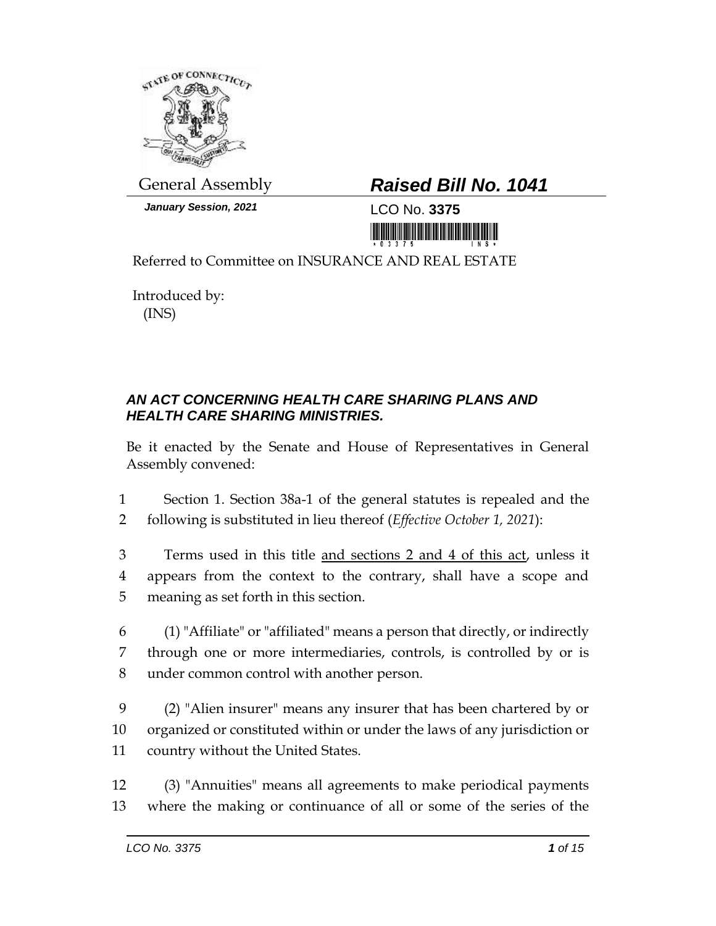

*January Session, 2021* LCO No. **3375**

## General Assembly *Raised Bill No. 1041*

<u> III MARIJI MATIJI MATIJI MATIJI MATIJI MATIJI MATIJI MATIJI MATIJI MATIJI MATIJI MATIJI MATIJI MATIJI MATIJI </u>

Referred to Committee on INSURANCE AND REAL ESTATE

Introduced by: (INS)

## *AN ACT CONCERNING HEALTH CARE SHARING PLANS AND HEALTH CARE SHARING MINISTRIES.*

Be it enacted by the Senate and House of Representatives in General Assembly convened:

1 Section 1. Section 38a-1 of the general statutes is repealed and the 2 following is substituted in lieu thereof (*Effective October 1, 2021*):

3 Terms used in this title and sections 2 and 4 of this act, unless it 4 appears from the context to the contrary, shall have a scope and 5 meaning as set forth in this section.

6 (1) "Affiliate" or "affiliated" means a person that directly, or indirectly 7 through one or more intermediaries, controls, is controlled by or is 8 under common control with another person.

9 (2) "Alien insurer" means any insurer that has been chartered by or 10 organized or constituted within or under the laws of any jurisdiction or 11 country without the United States.

12 (3) "Annuities" means all agreements to make periodical payments 13 where the making or continuance of all or some of the series of the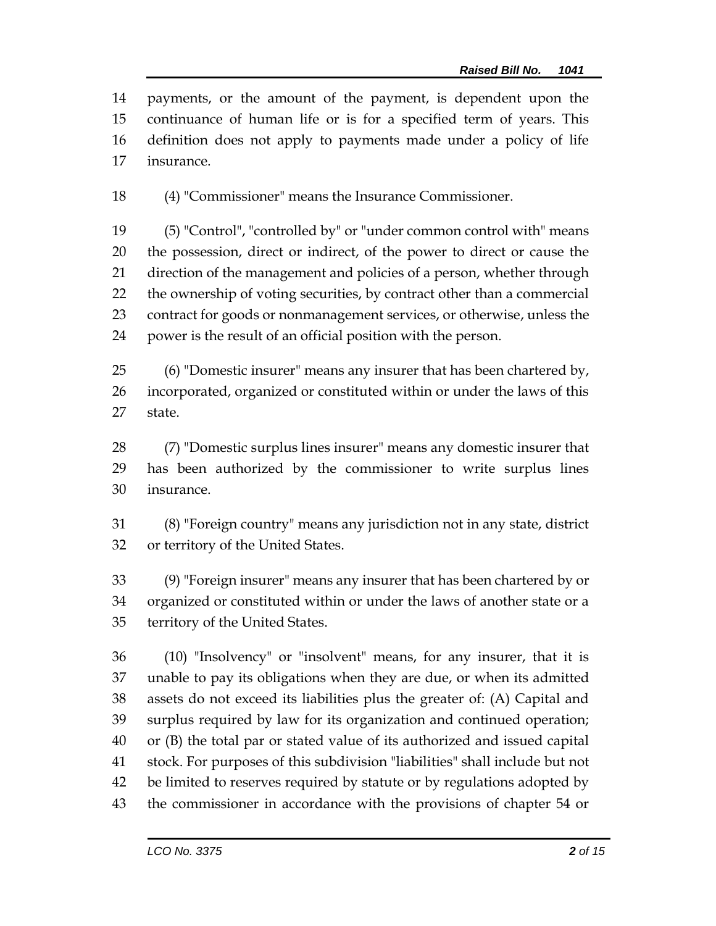payments, or the amount of the payment, is dependent upon the continuance of human life or is for a specified term of years. This definition does not apply to payments made under a policy of life insurance.

(4) "Commissioner" means the Insurance Commissioner.

 (5) "Control", "controlled by" or "under common control with" means the possession, direct or indirect, of the power to direct or cause the direction of the management and policies of a person, whether through the ownership of voting securities, by contract other than a commercial contract for goods or nonmanagement services, or otherwise, unless the power is the result of an official position with the person.

 (6) "Domestic insurer" means any insurer that has been chartered by, incorporated, organized or constituted within or under the laws of this state.

 (7) "Domestic surplus lines insurer" means any domestic insurer that has been authorized by the commissioner to write surplus lines insurance.

 (8) "Foreign country" means any jurisdiction not in any state, district or territory of the United States.

 (9) "Foreign insurer" means any insurer that has been chartered by or organized or constituted within or under the laws of another state or a territory of the United States.

 (10) "Insolvency" or "insolvent" means, for any insurer, that it is unable to pay its obligations when they are due, or when its admitted assets do not exceed its liabilities plus the greater of: (A) Capital and surplus required by law for its organization and continued operation; or (B) the total par or stated value of its authorized and issued capital stock. For purposes of this subdivision "liabilities" shall include but not be limited to reserves required by statute or by regulations adopted by the commissioner in accordance with the provisions of chapter 54 or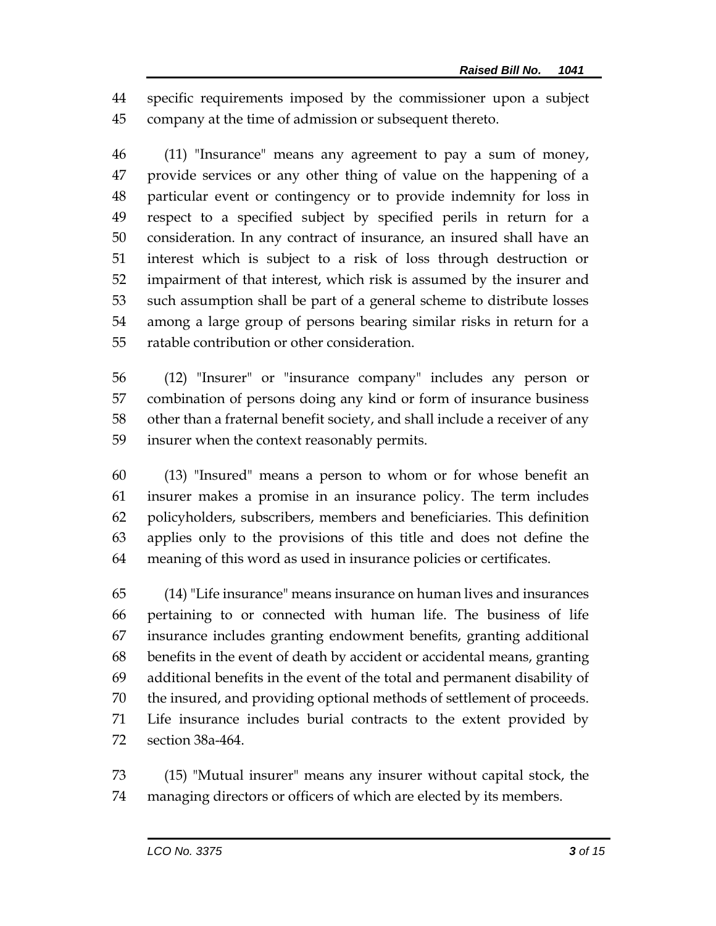specific requirements imposed by the commissioner upon a subject company at the time of admission or subsequent thereto.

 (11) "Insurance" means any agreement to pay a sum of money, provide services or any other thing of value on the happening of a particular event or contingency or to provide indemnity for loss in respect to a specified subject by specified perils in return for a consideration. In any contract of insurance, an insured shall have an interest which is subject to a risk of loss through destruction or impairment of that interest, which risk is assumed by the insurer and such assumption shall be part of a general scheme to distribute losses among a large group of persons bearing similar risks in return for a ratable contribution or other consideration.

 (12) "Insurer" or "insurance company" includes any person or combination of persons doing any kind or form of insurance business other than a fraternal benefit society, and shall include a receiver of any insurer when the context reasonably permits.

 (13) "Insured" means a person to whom or for whose benefit an insurer makes a promise in an insurance policy. The term includes policyholders, subscribers, members and beneficiaries. This definition applies only to the provisions of this title and does not define the meaning of this word as used in insurance policies or certificates.

 (14) "Life insurance" means insurance on human lives and insurances pertaining to or connected with human life. The business of life insurance includes granting endowment benefits, granting additional benefits in the event of death by accident or accidental means, granting additional benefits in the event of the total and permanent disability of the insured, and providing optional methods of settlement of proceeds. Life insurance includes burial contracts to the extent provided by section 38a-464.

 (15) "Mutual insurer" means any insurer without capital stock, the managing directors or officers of which are elected by its members.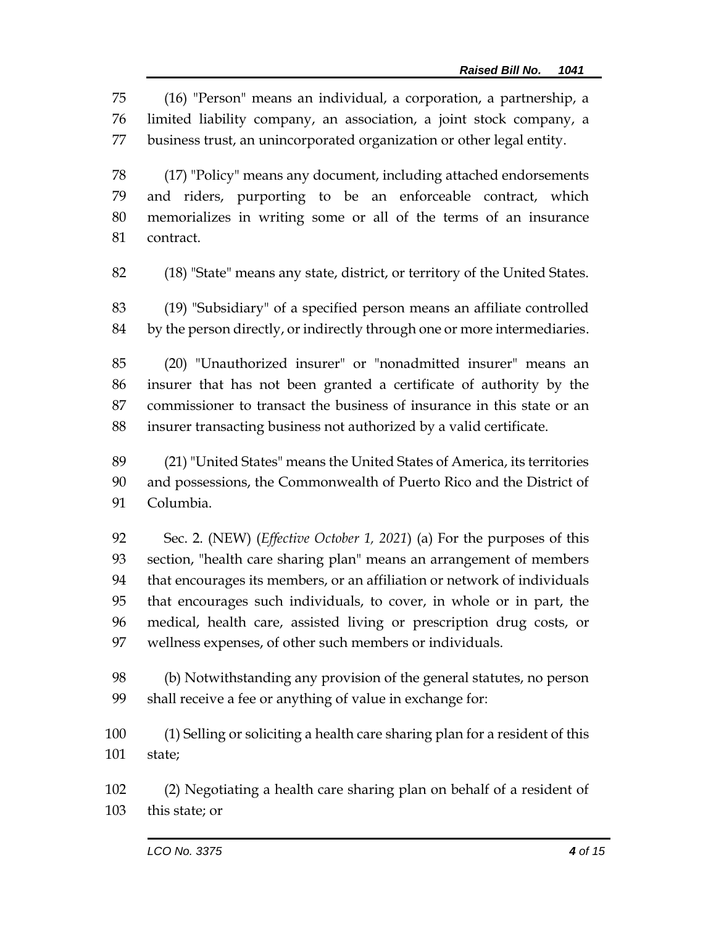(16) "Person" means an individual, a corporation, a partnership, a limited liability company, an association, a joint stock company, a business trust, an unincorporated organization or other legal entity.

 (17) "Policy" means any document, including attached endorsements and riders, purporting to be an enforceable contract, which memorializes in writing some or all of the terms of an insurance contract.

(18) "State" means any state, district, or territory of the United States.

 (19) "Subsidiary" of a specified person means an affiliate controlled by the person directly, or indirectly through one or more intermediaries.

 (20) "Unauthorized insurer" or "nonadmitted insurer" means an insurer that has not been granted a certificate of authority by the commissioner to transact the business of insurance in this state or an insurer transacting business not authorized by a valid certificate.

 (21) "United States" means the United States of America, its territories and possessions, the Commonwealth of Puerto Rico and the District of Columbia.

 Sec. 2. (NEW) (*Effective October 1, 2021*) (a) For the purposes of this section, "health care sharing plan" means an arrangement of members that encourages its members, or an affiliation or network of individuals that encourages such individuals, to cover, in whole or in part, the medical, health care, assisted living or prescription drug costs, or wellness expenses, of other such members or individuals.

 (b) Notwithstanding any provision of the general statutes, no person shall receive a fee or anything of value in exchange for:

 (1) Selling or soliciting a health care sharing plan for a resident of this state;

 (2) Negotiating a health care sharing plan on behalf of a resident of this state; or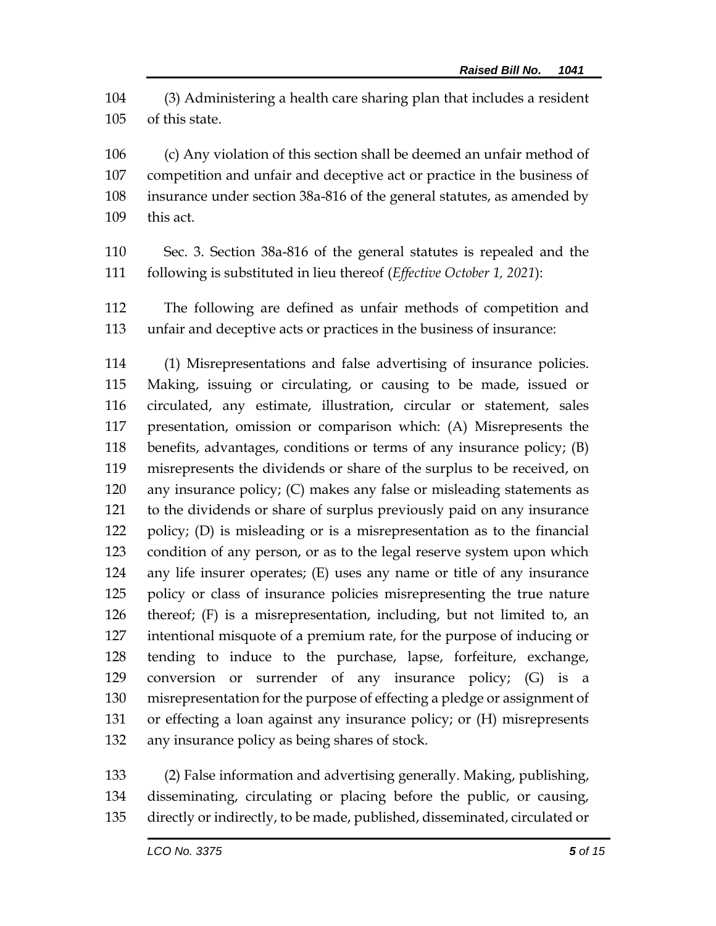(3) Administering a health care sharing plan that includes a resident of this state.

 (c) Any violation of this section shall be deemed an unfair method of competition and unfair and deceptive act or practice in the business of insurance under section 38a-816 of the general statutes, as amended by this act.

- Sec. 3. Section 38a-816 of the general statutes is repealed and the following is substituted in lieu thereof (*Effective October 1, 2021*):
- The following are defined as unfair methods of competition and unfair and deceptive acts or practices in the business of insurance:

 (1) Misrepresentations and false advertising of insurance policies. Making, issuing or circulating, or causing to be made, issued or circulated, any estimate, illustration, circular or statement, sales presentation, omission or comparison which: (A) Misrepresents the benefits, advantages, conditions or terms of any insurance policy; (B) misrepresents the dividends or share of the surplus to be received, on any insurance policy; (C) makes any false or misleading statements as to the dividends or share of surplus previously paid on any insurance policy; (D) is misleading or is a misrepresentation as to the financial condition of any person, or as to the legal reserve system upon which any life insurer operates; (E) uses any name or title of any insurance policy or class of insurance policies misrepresenting the true nature thereof; (F) is a misrepresentation, including, but not limited to, an intentional misquote of a premium rate, for the purpose of inducing or tending to induce to the purchase, lapse, forfeiture, exchange, conversion or surrender of any insurance policy; (G) is a misrepresentation for the purpose of effecting a pledge or assignment of or effecting a loan against any insurance policy; or (H) misrepresents any insurance policy as being shares of stock.

 (2) False information and advertising generally. Making, publishing, disseminating, circulating or placing before the public, or causing, directly or indirectly, to be made, published, disseminated, circulated or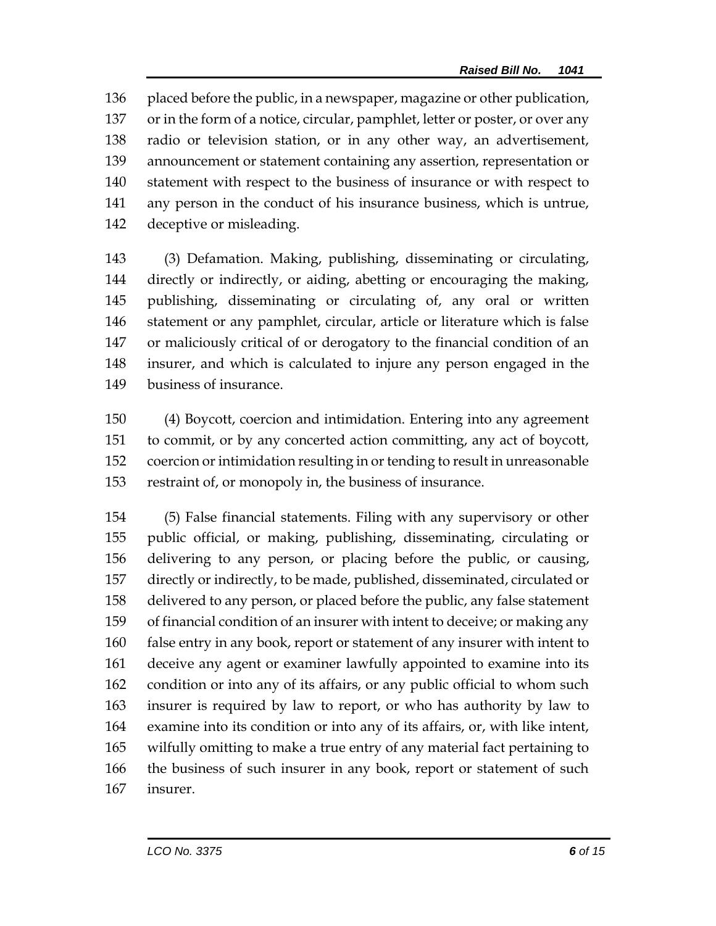placed before the public, in a newspaper, magazine or other publication, or in the form of a notice, circular, pamphlet, letter or poster, or over any radio or television station, or in any other way, an advertisement, announcement or statement containing any assertion, representation or statement with respect to the business of insurance or with respect to any person in the conduct of his insurance business, which is untrue, deceptive or misleading.

 (3) Defamation. Making, publishing, disseminating or circulating, directly or indirectly, or aiding, abetting or encouraging the making, publishing, disseminating or circulating of, any oral or written statement or any pamphlet, circular, article or literature which is false or maliciously critical of or derogatory to the financial condition of an insurer, and which is calculated to injure any person engaged in the business of insurance.

 (4) Boycott, coercion and intimidation. Entering into any agreement to commit, or by any concerted action committing, any act of boycott, coercion or intimidation resulting in or tending to result in unreasonable restraint of, or monopoly in, the business of insurance.

 (5) False financial statements. Filing with any supervisory or other public official, or making, publishing, disseminating, circulating or delivering to any person, or placing before the public, or causing, directly or indirectly, to be made, published, disseminated, circulated or delivered to any person, or placed before the public, any false statement of financial condition of an insurer with intent to deceive; or making any false entry in any book, report or statement of any insurer with intent to deceive any agent or examiner lawfully appointed to examine into its condition or into any of its affairs, or any public official to whom such insurer is required by law to report, or who has authority by law to examine into its condition or into any of its affairs, or, with like intent, wilfully omitting to make a true entry of any material fact pertaining to the business of such insurer in any book, report or statement of such insurer.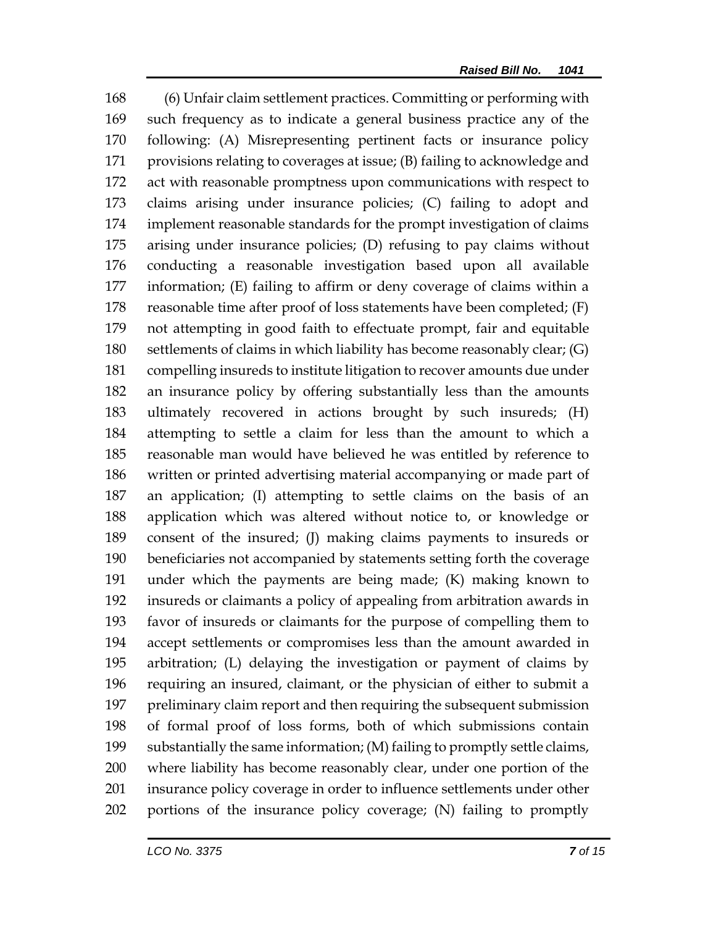(6) Unfair claim settlement practices. Committing or performing with such frequency as to indicate a general business practice any of the following: (A) Misrepresenting pertinent facts or insurance policy provisions relating to coverages at issue; (B) failing to acknowledge and act with reasonable promptness upon communications with respect to claims arising under insurance policies; (C) failing to adopt and implement reasonable standards for the prompt investigation of claims arising under insurance policies; (D) refusing to pay claims without conducting a reasonable investigation based upon all available information; (E) failing to affirm or deny coverage of claims within a reasonable time after proof of loss statements have been completed; (F) not attempting in good faith to effectuate prompt, fair and equitable settlements of claims in which liability has become reasonably clear; (G) compelling insureds to institute litigation to recover amounts due under an insurance policy by offering substantially less than the amounts ultimately recovered in actions brought by such insureds; (H) attempting to settle a claim for less than the amount to which a reasonable man would have believed he was entitled by reference to written or printed advertising material accompanying or made part of an application; (I) attempting to settle claims on the basis of an application which was altered without notice to, or knowledge or consent of the insured; (J) making claims payments to insureds or beneficiaries not accompanied by statements setting forth the coverage under which the payments are being made; (K) making known to insureds or claimants a policy of appealing from arbitration awards in favor of insureds or claimants for the purpose of compelling them to accept settlements or compromises less than the amount awarded in arbitration; (L) delaying the investigation or payment of claims by requiring an insured, claimant, or the physician of either to submit a preliminary claim report and then requiring the subsequent submission of formal proof of loss forms, both of which submissions contain substantially the same information; (M) failing to promptly settle claims, where liability has become reasonably clear, under one portion of the insurance policy coverage in order to influence settlements under other portions of the insurance policy coverage; (N) failing to promptly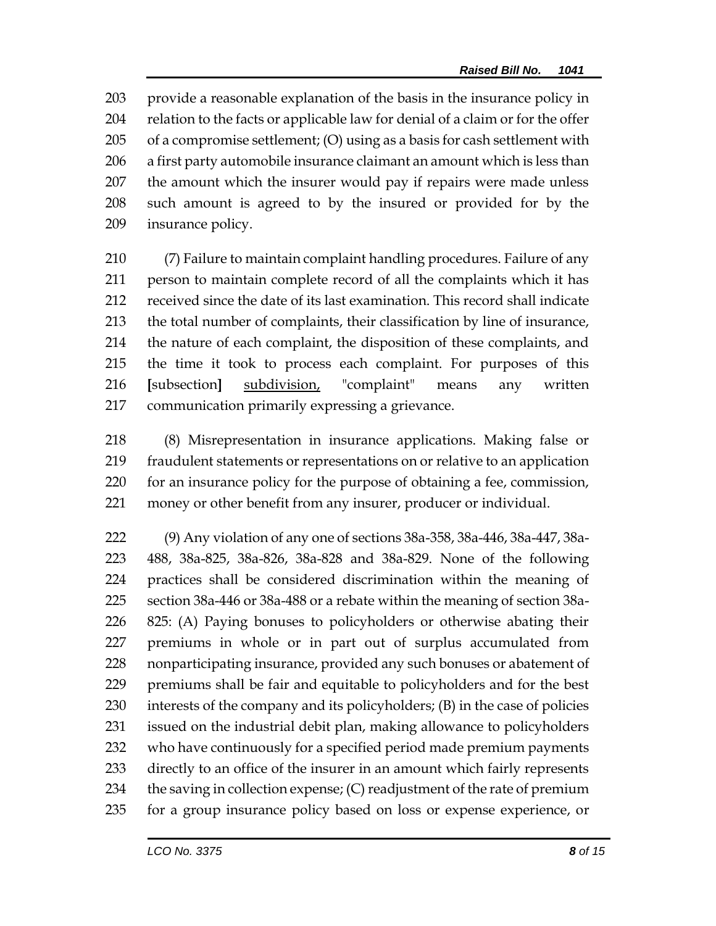provide a reasonable explanation of the basis in the insurance policy in relation to the facts or applicable law for denial of a claim or for the offer of a compromise settlement; (O) using as a basis for cash settlement with a first party automobile insurance claimant an amount which is less than the amount which the insurer would pay if repairs were made unless such amount is agreed to by the insured or provided for by the insurance policy.

 (7) Failure to maintain complaint handling procedures. Failure of any person to maintain complete record of all the complaints which it has received since the date of its last examination. This record shall indicate the total number of complaints, their classification by line of insurance, the nature of each complaint, the disposition of these complaints, and the time it took to process each complaint. For purposes of this **[**subsection**]** subdivision, "complaint" means any written communication primarily expressing a grievance.

 (8) Misrepresentation in insurance applications. Making false or fraudulent statements or representations on or relative to an application for an insurance policy for the purpose of obtaining a fee, commission, money or other benefit from any insurer, producer or individual.

 (9) Any violation of any one of sections 38a-358, 38a-446, 38a-447, 38a- 488, 38a-825, 38a-826, 38a-828 and 38a-829. None of the following practices shall be considered discrimination within the meaning of section 38a-446 or 38a-488 or a rebate within the meaning of section 38a- 825: (A) Paying bonuses to policyholders or otherwise abating their premiums in whole or in part out of surplus accumulated from nonparticipating insurance, provided any such bonuses or abatement of premiums shall be fair and equitable to policyholders and for the best interests of the company and its policyholders; (B) in the case of policies issued on the industrial debit plan, making allowance to policyholders who have continuously for a specified period made premium payments directly to an office of the insurer in an amount which fairly represents 234 the saving in collection expense;  $(C)$  readjustment of the rate of premium for a group insurance policy based on loss or expense experience, or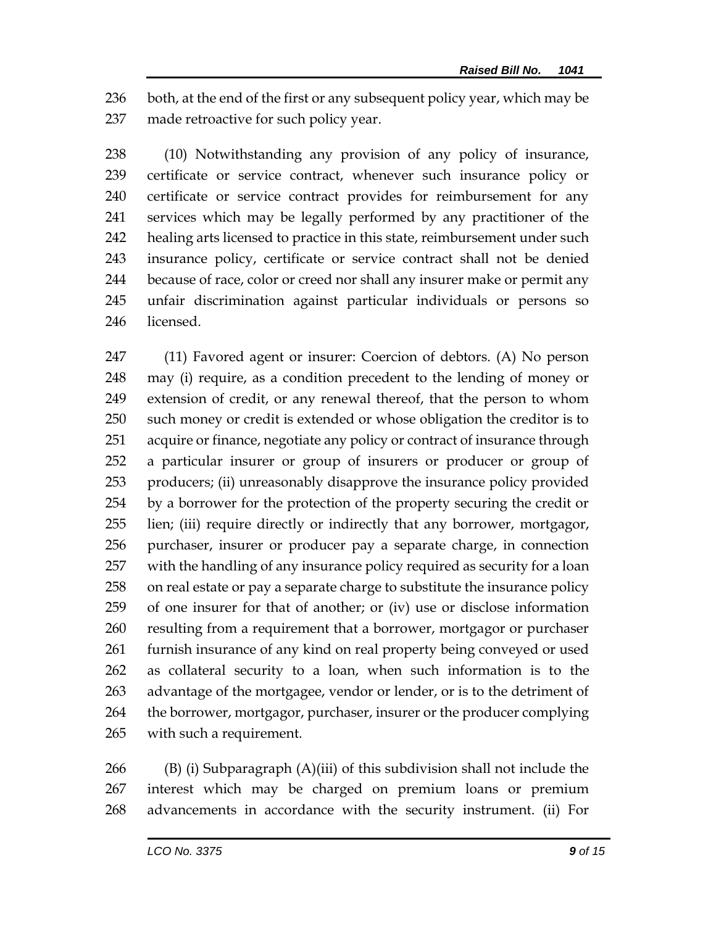236 both, at the end of the first or any subsequent policy year, which may be made retroactive for such policy year.

 (10) Notwithstanding any provision of any policy of insurance, certificate or service contract, whenever such insurance policy or certificate or service contract provides for reimbursement for any services which may be legally performed by any practitioner of the healing arts licensed to practice in this state, reimbursement under such insurance policy, certificate or service contract shall not be denied because of race, color or creed nor shall any insurer make or permit any unfair discrimination against particular individuals or persons so licensed.

 (11) Favored agent or insurer: Coercion of debtors. (A) No person may (i) require, as a condition precedent to the lending of money or extension of credit, or any renewal thereof, that the person to whom such money or credit is extended or whose obligation the creditor is to acquire or finance, negotiate any policy or contract of insurance through a particular insurer or group of insurers or producer or group of producers; (ii) unreasonably disapprove the insurance policy provided by a borrower for the protection of the property securing the credit or lien; (iii) require directly or indirectly that any borrower, mortgagor, purchaser, insurer or producer pay a separate charge, in connection with the handling of any insurance policy required as security for a loan on real estate or pay a separate charge to substitute the insurance policy of one insurer for that of another; or (iv) use or disclose information resulting from a requirement that a borrower, mortgagor or purchaser furnish insurance of any kind on real property being conveyed or used as collateral security to a loan, when such information is to the advantage of the mortgagee, vendor or lender, or is to the detriment of the borrower, mortgagor, purchaser, insurer or the producer complying with such a requirement.

266 (B) (i) Subparagraph  $(A)$ (iii) of this subdivision shall not include the interest which may be charged on premium loans or premium advancements in accordance with the security instrument. (ii) For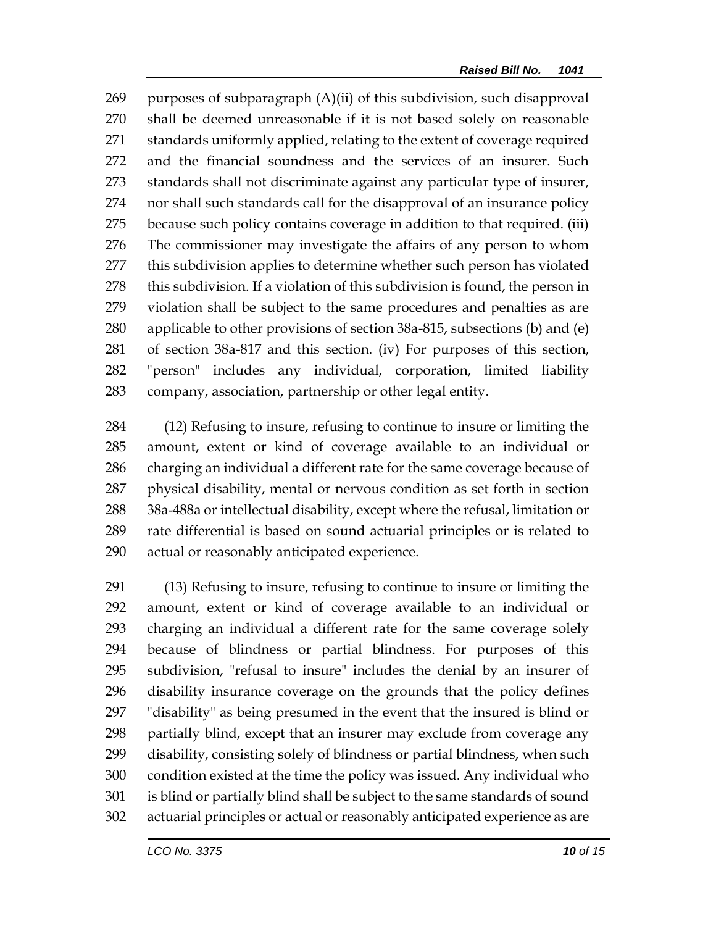purposes of subparagraph (A)(ii) of this subdivision, such disapproval shall be deemed unreasonable if it is not based solely on reasonable standards uniformly applied, relating to the extent of coverage required and the financial soundness and the services of an insurer. Such standards shall not discriminate against any particular type of insurer, nor shall such standards call for the disapproval of an insurance policy because such policy contains coverage in addition to that required. (iii) The commissioner may investigate the affairs of any person to whom this subdivision applies to determine whether such person has violated this subdivision. If a violation of this subdivision is found, the person in violation shall be subject to the same procedures and penalties as are applicable to other provisions of section 38a-815, subsections (b) and (e) of section 38a-817 and this section. (iv) For purposes of this section, "person" includes any individual, corporation, limited liability company, association, partnership or other legal entity.

 (12) Refusing to insure, refusing to continue to insure or limiting the amount, extent or kind of coverage available to an individual or charging an individual a different rate for the same coverage because of physical disability, mental or nervous condition as set forth in section 38a-488a or intellectual disability, except where the refusal, limitation or rate differential is based on sound actuarial principles or is related to actual or reasonably anticipated experience.

 (13) Refusing to insure, refusing to continue to insure or limiting the amount, extent or kind of coverage available to an individual or charging an individual a different rate for the same coverage solely because of blindness or partial blindness. For purposes of this subdivision, "refusal to insure" includes the denial by an insurer of disability insurance coverage on the grounds that the policy defines "disability" as being presumed in the event that the insured is blind or partially blind, except that an insurer may exclude from coverage any disability, consisting solely of blindness or partial blindness, when such condition existed at the time the policy was issued. Any individual who is blind or partially blind shall be subject to the same standards of sound actuarial principles or actual or reasonably anticipated experience as are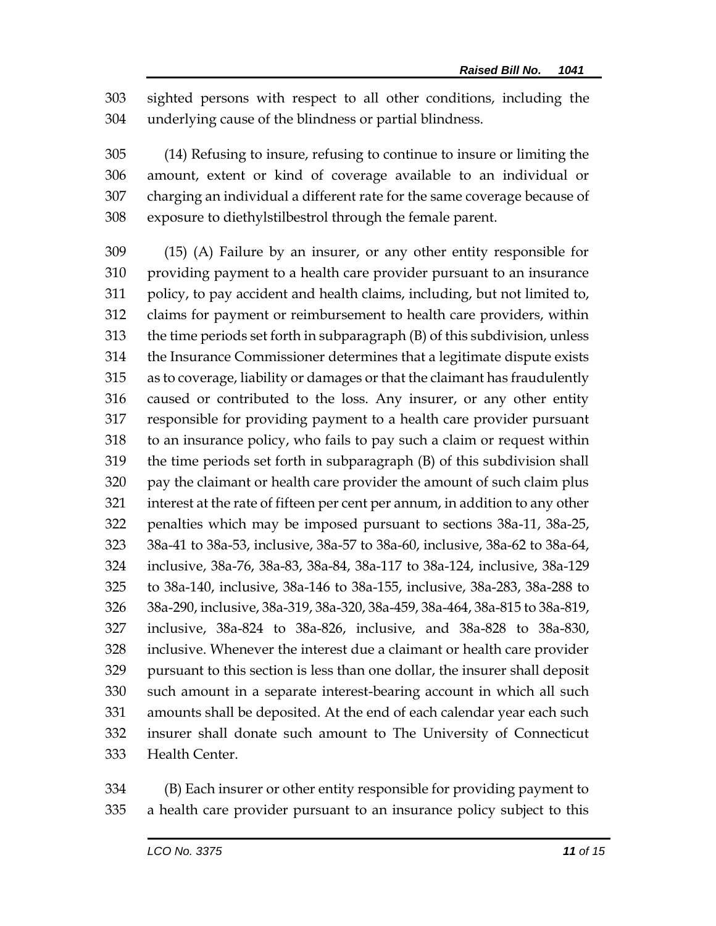sighted persons with respect to all other conditions, including the underlying cause of the blindness or partial blindness.

 (14) Refusing to insure, refusing to continue to insure or limiting the amount, extent or kind of coverage available to an individual or charging an individual a different rate for the same coverage because of exposure to diethylstilbestrol through the female parent.

 (15) (A) Failure by an insurer, or any other entity responsible for providing payment to a health care provider pursuant to an insurance policy, to pay accident and health claims, including, but not limited to, claims for payment or reimbursement to health care providers, within the time periods set forth in subparagraph (B) of this subdivision, unless the Insurance Commissioner determines that a legitimate dispute exists as to coverage, liability or damages or that the claimant has fraudulently caused or contributed to the loss. Any insurer, or any other entity responsible for providing payment to a health care provider pursuant to an insurance policy, who fails to pay such a claim or request within the time periods set forth in subparagraph (B) of this subdivision shall pay the claimant or health care provider the amount of such claim plus interest at the rate of fifteen per cent per annum, in addition to any other penalties which may be imposed pursuant to sections 38a-11, 38a-25, 38a-41 to 38a-53, inclusive, 38a-57 to 38a-60, inclusive, 38a-62 to 38a-64, inclusive, 38a-76, 38a-83, 38a-84, 38a-117 to 38a-124, inclusive, 38a-129 to 38a-140, inclusive, 38a-146 to 38a-155, inclusive, 38a-283, 38a-288 to 38a-290, inclusive, 38a-319, 38a-320, 38a-459, 38a-464, 38a-815 to 38a-819, inclusive, 38a-824 to 38a-826, inclusive, and 38a-828 to 38a-830, inclusive. Whenever the interest due a claimant or health care provider pursuant to this section is less than one dollar, the insurer shall deposit such amount in a separate interest-bearing account in which all such amounts shall be deposited. At the end of each calendar year each such insurer shall donate such amount to The University of Connecticut Health Center.

 (B) Each insurer or other entity responsible for providing payment to a health care provider pursuant to an insurance policy subject to this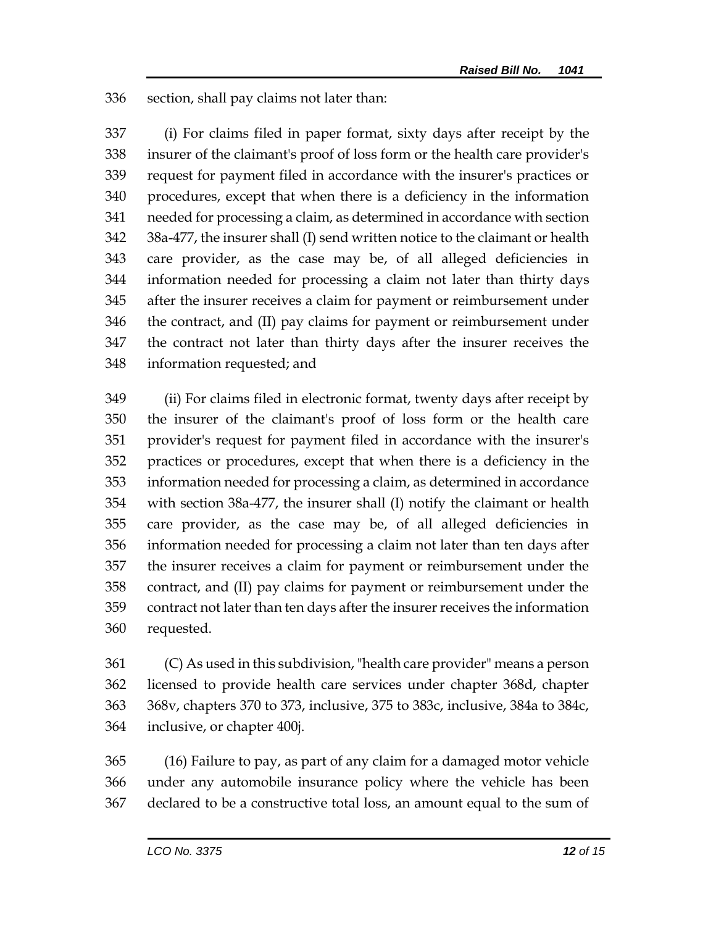section, shall pay claims not later than:

 (i) For claims filed in paper format, sixty days after receipt by the insurer of the claimant's proof of loss form or the health care provider's request for payment filed in accordance with the insurer's practices or procedures, except that when there is a deficiency in the information needed for processing a claim, as determined in accordance with section 38a-477, the insurer shall (I) send written notice to the claimant or health care provider, as the case may be, of all alleged deficiencies in information needed for processing a claim not later than thirty days after the insurer receives a claim for payment or reimbursement under the contract, and (II) pay claims for payment or reimbursement under the contract not later than thirty days after the insurer receives the information requested; and

 (ii) For claims filed in electronic format, twenty days after receipt by the insurer of the claimant's proof of loss form or the health care provider's request for payment filed in accordance with the insurer's practices or procedures, except that when there is a deficiency in the information needed for processing a claim, as determined in accordance with section 38a-477, the insurer shall (I) notify the claimant or health care provider, as the case may be, of all alleged deficiencies in information needed for processing a claim not later than ten days after the insurer receives a claim for payment or reimbursement under the contract, and (II) pay claims for payment or reimbursement under the contract not later than ten days after the insurer receives the information requested.

 (C) As used in this subdivision, "health care provider" means a person licensed to provide health care services under chapter 368d, chapter 368v, chapters 370 to 373, inclusive, 375 to 383c, inclusive, 384a to 384c, inclusive, or chapter 400j.

 (16) Failure to pay, as part of any claim for a damaged motor vehicle under any automobile insurance policy where the vehicle has been declared to be a constructive total loss, an amount equal to the sum of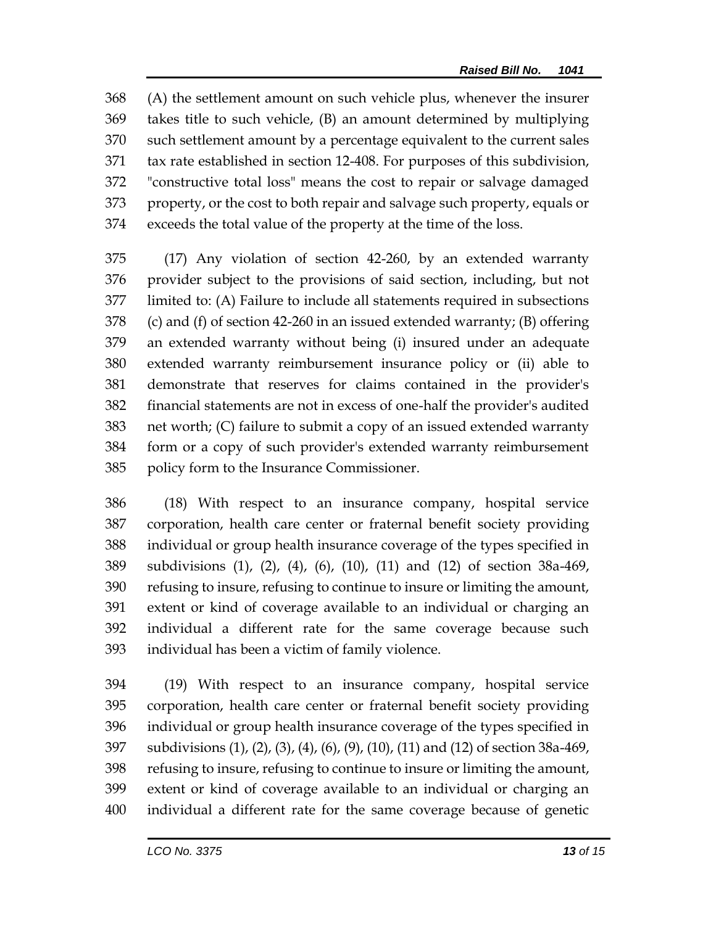(A) the settlement amount on such vehicle plus, whenever the insurer takes title to such vehicle, (B) an amount determined by multiplying such settlement amount by a percentage equivalent to the current sales tax rate established in section 12-408. For purposes of this subdivision, "constructive total loss" means the cost to repair or salvage damaged property, or the cost to both repair and salvage such property, equals or exceeds the total value of the property at the time of the loss.

 (17) Any violation of section 42-260, by an extended warranty provider subject to the provisions of said section, including, but not limited to: (A) Failure to include all statements required in subsections (c) and (f) of section 42-260 in an issued extended warranty; (B) offering an extended warranty without being (i) insured under an adequate extended warranty reimbursement insurance policy or (ii) able to demonstrate that reserves for claims contained in the provider's financial statements are not in excess of one-half the provider's audited net worth; (C) failure to submit a copy of an issued extended warranty form or a copy of such provider's extended warranty reimbursement policy form to the Insurance Commissioner.

 (18) With respect to an insurance company, hospital service corporation, health care center or fraternal benefit society providing individual or group health insurance coverage of the types specified in subdivisions (1), (2), (4), (6), (10), (11) and (12) of section 38a-469, refusing to insure, refusing to continue to insure or limiting the amount, extent or kind of coverage available to an individual or charging an individual a different rate for the same coverage because such individual has been a victim of family violence.

 (19) With respect to an insurance company, hospital service corporation, health care center or fraternal benefit society providing individual or group health insurance coverage of the types specified in subdivisions (1), (2), (3), (4), (6), (9), (10), (11) and (12) of section 38a-469, refusing to insure, refusing to continue to insure or limiting the amount, extent or kind of coverage available to an individual or charging an individual a different rate for the same coverage because of genetic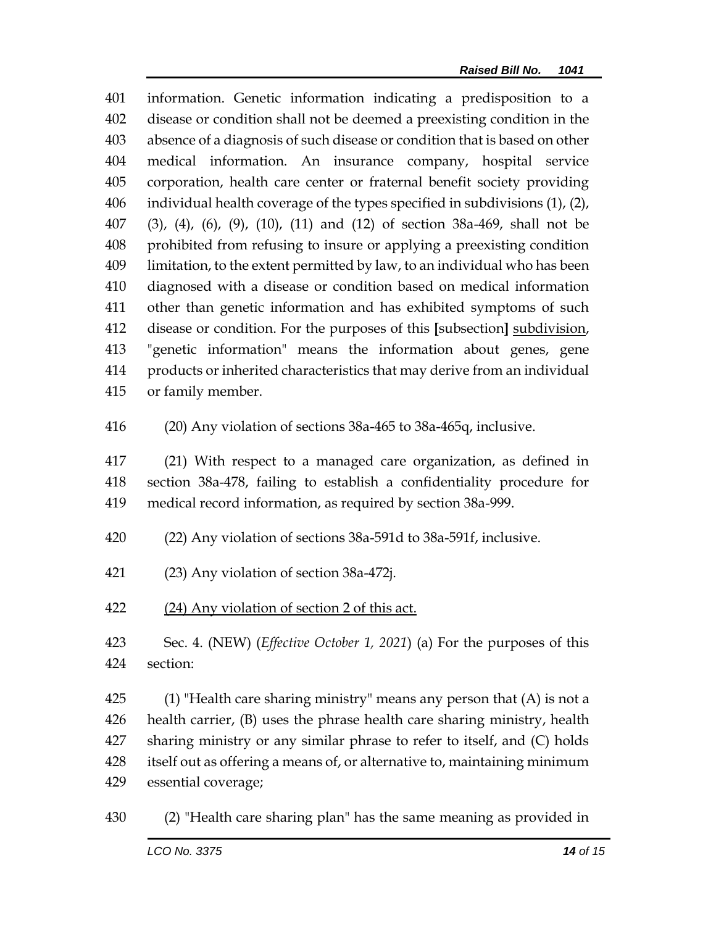information. Genetic information indicating a predisposition to a disease or condition shall not be deemed a preexisting condition in the absence of a diagnosis of such disease or condition that is based on other medical information. An insurance company, hospital service corporation, health care center or fraternal benefit society providing individual health coverage of the types specified in subdivisions (1), (2), (3), (4), (6), (9), (10), (11) and (12) of section 38a-469, shall not be prohibited from refusing to insure or applying a preexisting condition limitation, to the extent permitted by law, to an individual who has been diagnosed with a disease or condition based on medical information other than genetic information and has exhibited symptoms of such disease or condition. For the purposes of this **[**subsection**]** subdivision, "genetic information" means the information about genes, gene products or inherited characteristics that may derive from an individual or family member.

(20) Any violation of sections 38a-465 to 38a-465q, inclusive.

 (21) With respect to a managed care organization, as defined in section 38a-478, failing to establish a confidentiality procedure for medical record information, as required by section 38a-999.

- (22) Any violation of sections 38a-591d to 38a-591f, inclusive.
- (23) Any violation of section 38a-472j.
- 422 (24) Any violation of section 2 of this act.

 Sec. 4. (NEW) (*Effective October 1, 2021*) (a) For the purposes of this section:

 $\qquad$  (1) "Health care sharing ministry" means any person that (A) is not a health carrier, (B) uses the phrase health care sharing ministry, health sharing ministry or any similar phrase to refer to itself, and (C) holds itself out as offering a means of, or alternative to, maintaining minimum essential coverage;

(2) "Health care sharing plan" has the same meaning as provided in